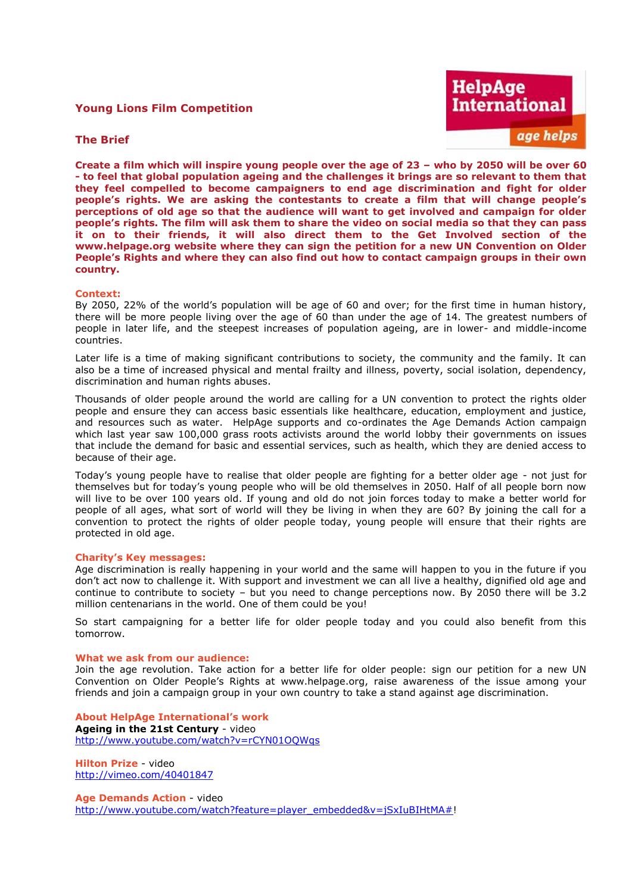# **Young Lions Film Competition**



# **The Brief**

**Create a film which will inspire young people over the age of 23 – who by 2050 will be over 60 - to feel that global population ageing and the challenges it brings are so relevant to them that they feel compelled to become campaigners to end age discrimination and fight for older people's rights. We are asking the contestants to create a film that will change people's perceptions of old age so that the audience will want to get involved and campaign for older people's rights. The film will ask them to share the video on social media so that they can pass it on to their friends, it will also direct them to the Get Involved section of the www.helpage.org website where they can sign the petition for a new UN Convention on Older People's Rights and where they can also find out how to contact campaign groups in their own country.** 

### **Context:**

By 2050, 22% of the world's population will be age of 60 and over; for the first time in human history, there will be more people living over the age of 60 than under the age of 14. The greatest numbers of people in later life, and the steepest increases of population ageing, are in lower- and middle-income countries.

Later life is a time of making significant contributions to society, the community and the family. It can also be a time of increased physical and mental frailty and illness, poverty, social isolation, dependency, discrimination and human rights abuses.

Thousands of older people around the world are calling for a UN convention to protect the rights older people and ensure they can access basic essentials like healthcare, education, employment and justice, and resources such as water. HelpAge supports and co-ordinates the Age Demands Action campaign which last year saw 100,000 grass roots activists around the world lobby their governments on issues that include the demand for basic and essential services, such as health, which they are denied access to because of their age.

Today's young people have to realise that older people are fighting for a better older age - not just for themselves but for today's young people who will be old themselves in 2050. Half of all people born now will live to be over 100 years old. If young and old do not join forces today to make a better world for people of all ages, what sort of world will they be living in when they are 60? By joining the call for a convention to protect the rights of older people today, young people will ensure that their rights are protected in old age.

#### **Charity's Key messages:**

Age discrimination is really happening in your world and the same will happen to you in the future if you don't act now to challenge it. With support and investment we can all live a healthy, dignified old age and continue to contribute to society – but you need to change perceptions now. By 2050 there will be 3.2 million centenarians in the world. One of them could be you!

So start campaigning for a better life for older people today and you could also benefit from this tomorrow.

#### **What we ask from our audience:**

Join the age revolution. Take action for a better life for older people: sign our petition for a new UN Convention on Older People's Rights at www.helpage.org, raise awareness of the issue among your friends and join a campaign group in your own country to take a stand against age discrimination.

**About HelpAge International's work Ageing in the 21st Century** - video <http://www.youtube.com/watch?v=rCYN01OQWqs>

**Hilton Prize** - video <http://vimeo.com/40401847>

**Age Demands Action** - video [http://www.youtube.com/watch?feature=player\\_embedded&v=jSxIuBIHtMA#!](http://www.youtube.com/watch?feature=player_embedded&v=jSxIuBIHtMA)